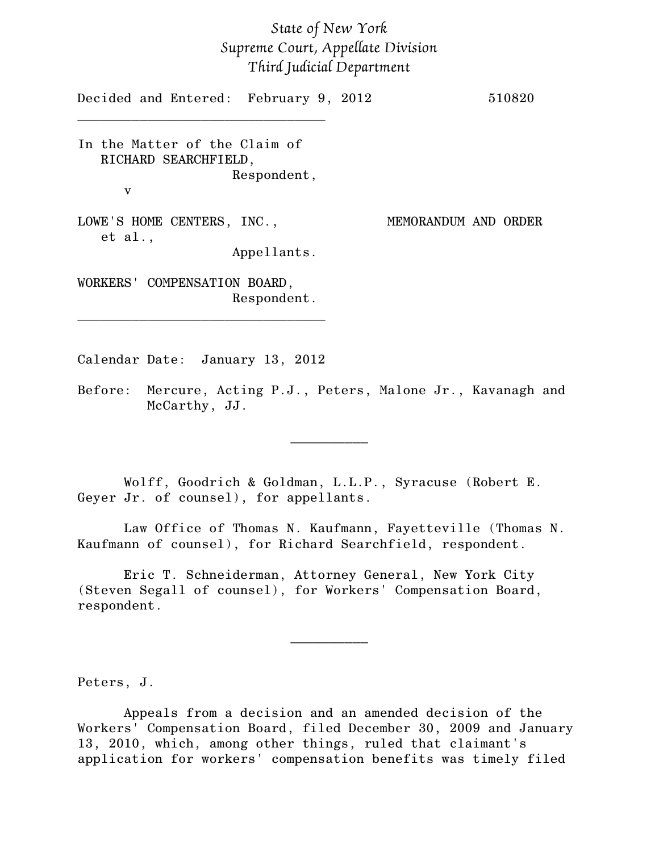## *State of New York Supreme Court, Appellate Division Third Judicial Department*

Decided and Entered: February 9, 2012 510820 \_\_\_\_\_\_\_\_\_\_\_\_\_\_\_\_\_\_\_\_\_\_\_\_\_\_\_\_\_\_\_\_ In the Matter of the Claim of RICHARD SEARCHFIELD, Respondent, v LOWE'S HOME CENTERS, INC., MEMORANDUM AND ORDER et al., Appellants. WORKERS' COMPENSATION BOARD, Respondent. \_\_\_\_\_\_\_\_\_\_\_\_\_\_\_\_\_\_\_\_\_\_\_\_\_\_\_\_\_\_\_\_

Calendar Date: January 13, 2012

Before: Mercure, Acting P.J., Peters, Malone Jr., Kavanagh and McCarthy, JJ.

 $\frac{1}{2}$ 

Wolff, Goodrich & Goldman, L.L.P., Syracuse (Robert E. Geyer Jr. of counsel), for appellants.

Law Office of Thomas N. Kaufmann, Fayetteville (Thomas N. Kaufmann of counsel), for Richard Searchfield, respondent.

Eric T. Schneiderman, Attorney General, New York City (Steven Segall of counsel), for Workers' Compensation Board, respondent.

Peters, J.

Appeals from a decision and an amended decision of the Workers' Compensation Board, filed December 30, 2009 and January 13, 2010, which, among other things, ruled that claimant's application for workers' compensation benefits was timely filed

 $\frac{1}{2}$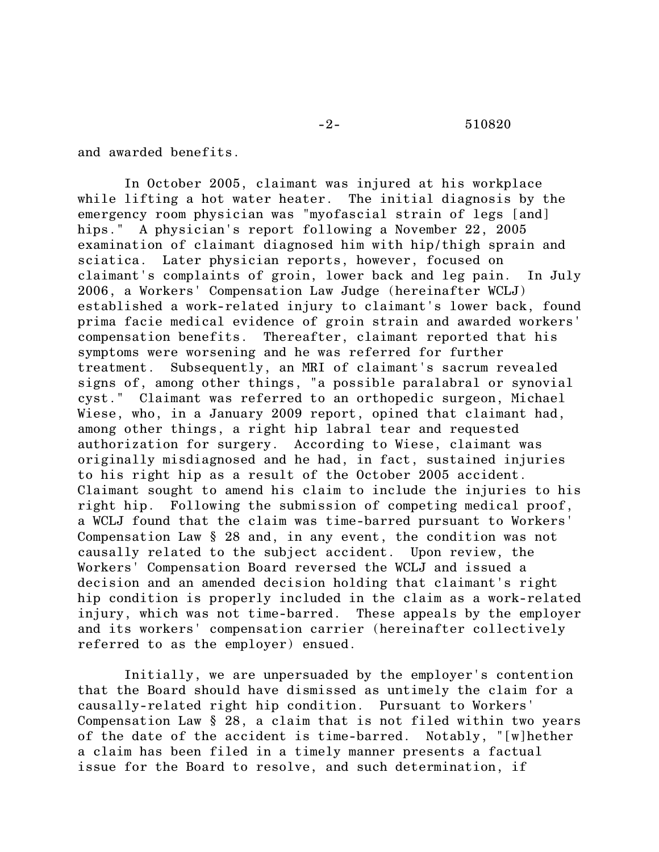and awarded benefits.

In October 2005, claimant was injured at his workplace while lifting a hot water heater. The initial diagnosis by the emergency room physician was "myofascial strain of legs [and] hips." A physician's report following a November 22, 2005 examination of claimant diagnosed him with hip/thigh sprain and sciatica. Later physician reports, however, focused on claimant's complaints of groin, lower back and leg pain. In July 2006, a Workers' Compensation Law Judge (hereinafter WCLJ) established a work-related injury to claimant's lower back, found prima facie medical evidence of groin strain and awarded workers' compensation benefits. Thereafter, claimant reported that his symptoms were worsening and he was referred for further treatment. Subsequently, an MRI of claimant's sacrum revealed signs of, among other things, "a possible paralabral or synovial cyst." Claimant was referred to an orthopedic surgeon, Michael Wiese, who, in a January 2009 report, opined that claimant had, among other things, a right hip labral tear and requested authorization for surgery. According to Wiese, claimant was originally misdiagnosed and he had, in fact, sustained injuries to his right hip as a result of the October 2005 accident. Claimant sought to amend his claim to include the injuries to his right hip. Following the submission of competing medical proof, a WCLJ found that the claim was time-barred pursuant to Workers' Compensation Law § 28 and, in any event, the condition was not causally related to the subject accident. Upon review, the Workers' Compensation Board reversed the WCLJ and issued a decision and an amended decision holding that claimant's right hip condition is properly included in the claim as a work-related injury, which was not time-barred. These appeals by the employer and its workers' compensation carrier (hereinafter collectively referred to as the employer) ensued.

Initially, we are unpersuaded by the employer's contention that the Board should have dismissed as untimely the claim for a causally-related right hip condition. Pursuant to Workers' Compensation Law § 28, a claim that is not filed within two years of the date of the accident is time-barred. Notably, "[w]hether a claim has been filed in a timely manner presents a factual issue for the Board to resolve, and such determination, if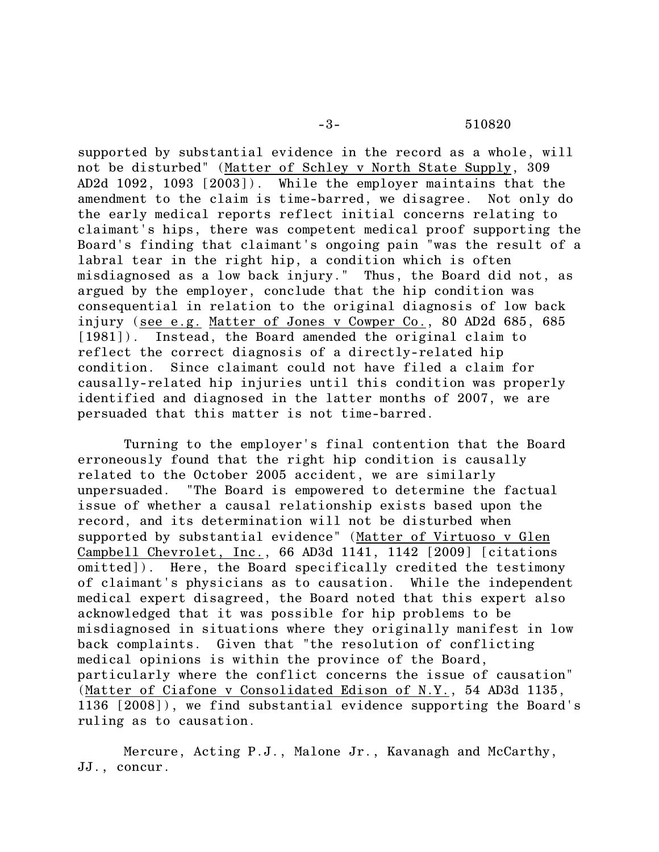supported by substantial evidence in the record as a whole, will not be disturbed" (Matter of Schley v North State Supply, 309 AD2d 1092, 1093 [2003]). While the employer maintains that the amendment to the claim is time-barred, we disagree. Not only do the early medical reports reflect initial concerns relating to claimant's hips, there was competent medical proof supporting the Board's finding that claimant's ongoing pain "was the result of a labral tear in the right hip, a condition which is often misdiagnosed as a low back injury." Thus, the Board did not, as argued by the employer, conclude that the hip condition was consequential in relation to the original diagnosis of low back injury (see e.g. Matter of Jones v Cowper Co., 80 AD2d 685, 685 [1981]). Instead, the Board amended the original claim to reflect the correct diagnosis of a directly-related hip condition. Since claimant could not have filed a claim for causally-related hip injuries until this condition was properly identified and diagnosed in the latter months of 2007, we are persuaded that this matter is not time-barred.

Turning to the employer's final contention that the Board erroneously found that the right hip condition is causally related to the October 2005 accident, we are similarly unpersuaded. "The Board is empowered to determine the factual issue of whether a causal relationship exists based upon the record, and its determination will not be disturbed when supported by substantial evidence" (Matter of Virtuoso v Glen Campbell Chevrolet, Inc., 66 AD3d 1141, 1142 [2009] [citations omitted]). Here, the Board specifically credited the testimony of claimant's physicians as to causation. While the independent medical expert disagreed, the Board noted that this expert also acknowledged that it was possible for hip problems to be misdiagnosed in situations where they originally manifest in low back complaints. Given that "the resolution of conflicting medical opinions is within the province of the Board, particularly where the conflict concerns the issue of causation" (Matter of Ciafone v Consolidated Edison of N.Y., 54 AD3d 1135, 1136 [2008]), we find substantial evidence supporting the Board's ruling as to causation.

Mercure, Acting P.J., Malone Jr., Kavanagh and McCarthy, JJ., concur.